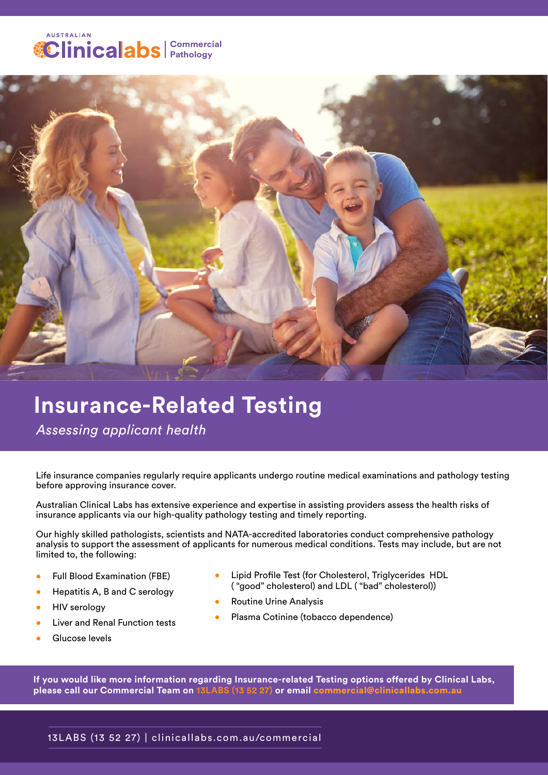### **AUSTRALIAN Commercial Pathology**



# **Insurance-Related Testing**

 *Assessing applicant health* 

Life insurance companies regularly require applicants undergo routine medical examinations and pathology testing before approving insurance cover.

Australian Clinical Labs has extensive experience and expertise in assisting providers assess the health risks of insurance applicants via our high-quality pathology testing and timely reporting.

Our highly skilled pathologists, scientists and NATA-accredited laboratories conduct comprehensive pathology analysis to support the assessment of applicants for numerous medical conditions. Tests may include, but are not limited to, the following:

- Full Blood Examination (FBE)
- Hepatitis A, B and C serology
- HIV serology
- Liver and Renal Function tests
- Glucose levels
- Lipid Profile Test (for Cholesterol, Triglycerides HDL ( "good" cholesterol) and LDL ( "bad" cholesterol))
- Routine Urine Analysis
- Plasma Cotinine (tobacco dependence)

**If you would like more information regarding Insurance-related Testing options offered by Clinical Labs, please call our Commercial Team on 13LABS (13 52 27) or email** commercial@clinicallabs.com.au

### 13LABS (13 52 27) | clinicallabs.com.au/commercial